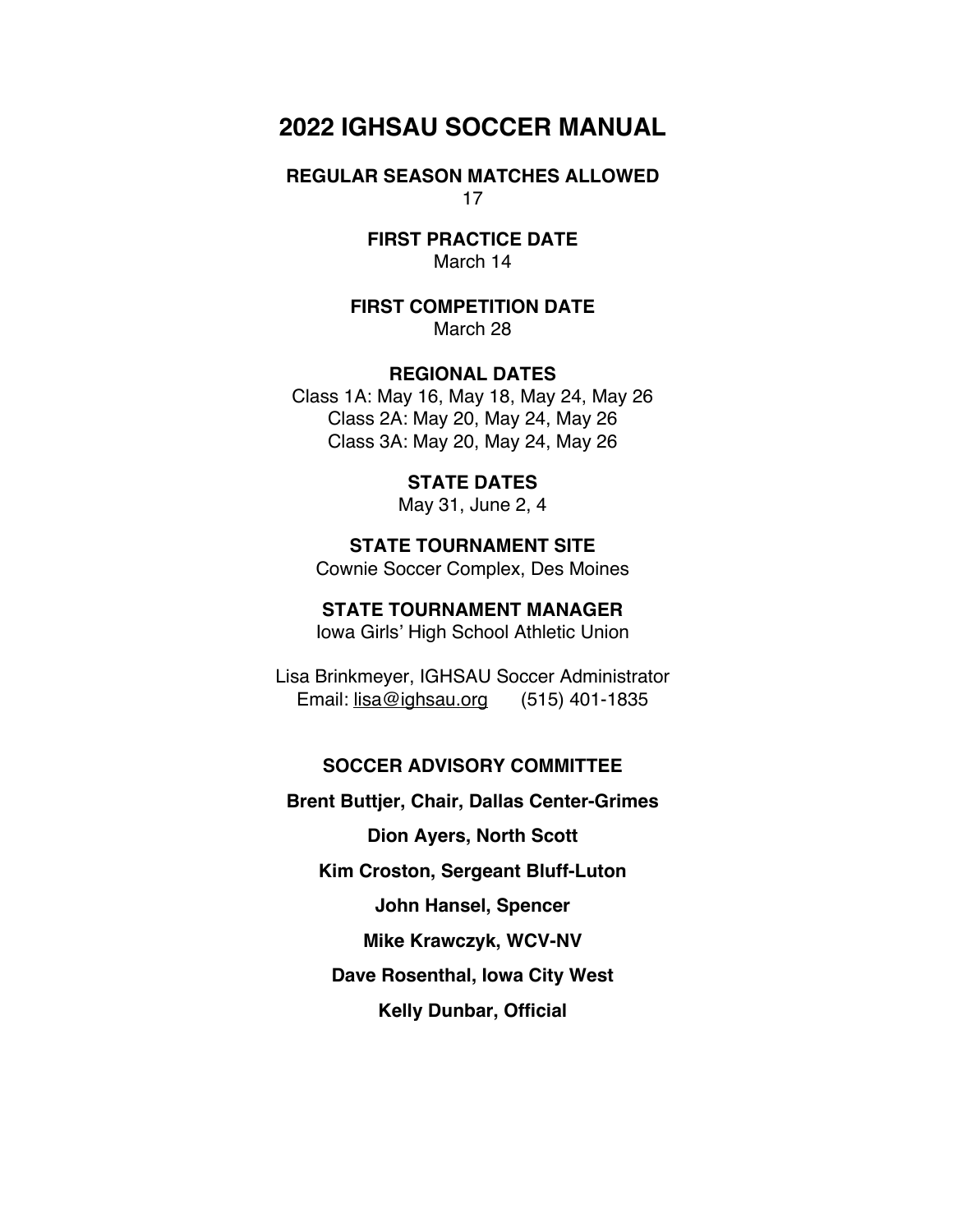# **2022 IGHSAU SOCCER MANUAL**

**REGULAR SEASON MATCHES ALLOWED** 17

> **FIRST PRACTICE DATE** March 14

**FIRST COMPETITION DATE** March 28

**REGIONAL DATES**

Class 1A: May 16, May 18, May 24, May 26 Class 2A: May 20, May 24, May 26 Class 3A: May 20, May 24, May 26

**STATE DATES**

May 31, June 2, 4

**STATE TOURNAMENT SITE** Cownie Soccer Complex, Des Moines

**STATE TOURNAMENT MANAGER** Iowa Girls' High School Athletic Union

Lisa Brinkmeyer, IGHSAU Soccer Administrator Email: lisa@ighsau.org (515) 401-1835

#### **SOCCER ADVISORY COMMITTEE**

**Brent Buttjer, Chair, Dallas Center-Grimes** 

**Dion Ayers, North Scott** 

**Kim Croston, Sergeant Bluff-Luton** 

**John Hansel, Spencer**

**Mike Krawczyk, WCV-NV** 

**Dave Rosenthal, Iowa City West**

**Kelly Dunbar, Official**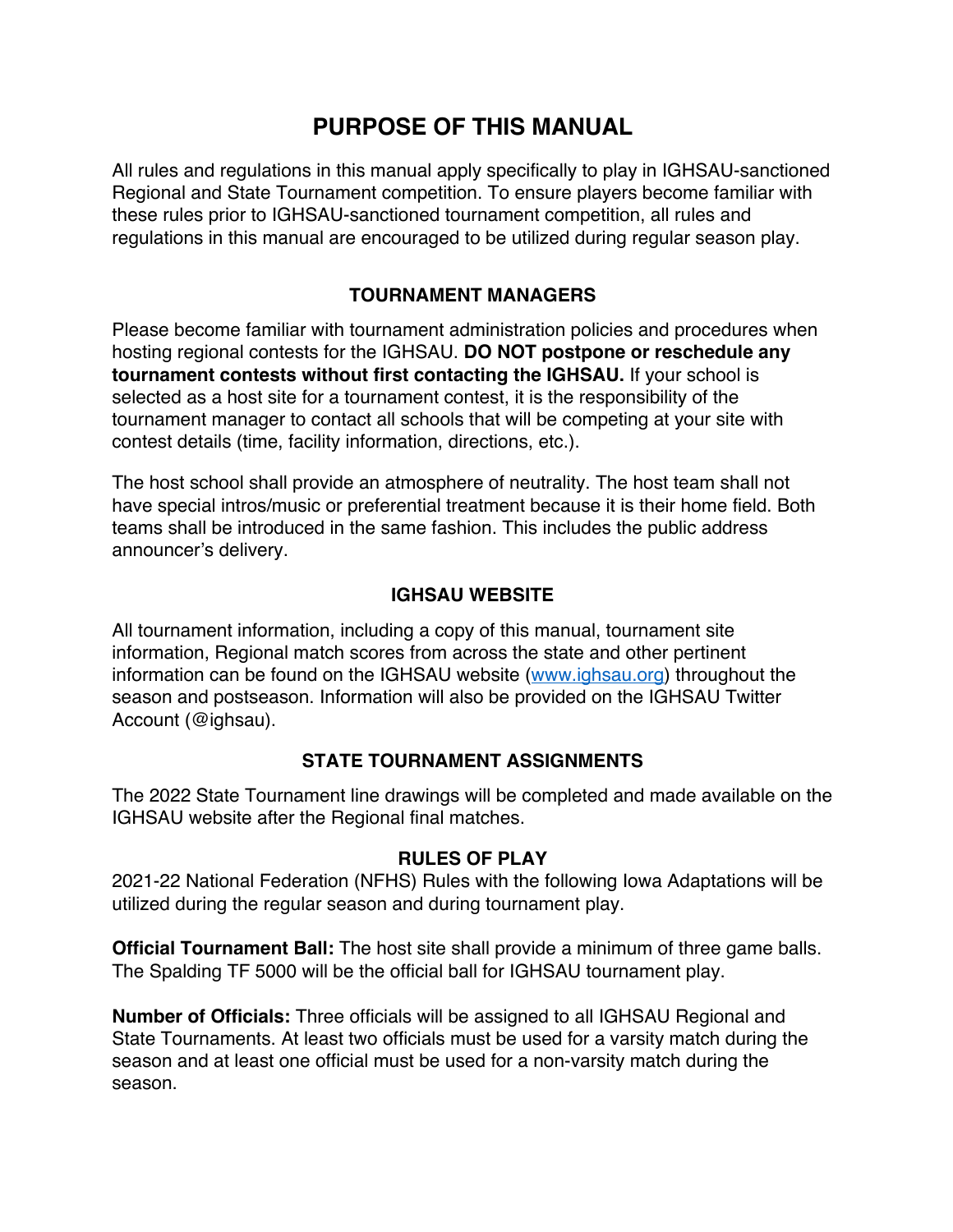# **PURPOSE OF THIS MANUAL**

All rules and regulations in this manual apply specifically to play in IGHSAU-sanctioned Regional and State Tournament competition. To ensure players become familiar with these rules prior to IGHSAU-sanctioned tournament competition, all rules and regulations in this manual are encouraged to be utilized during regular season play.

# **TOURNAMENT MANAGERS**

Please become familiar with tournament administration policies and procedures when hosting regional contests for the IGHSAU. **DO NOT postpone or reschedule any tournament contests without first contacting the IGHSAU.** If your school is selected as a host site for a tournament contest, it is the responsibility of the tournament manager to contact all schools that will be competing at your site with contest details (time, facility information, directions, etc.).

The host school shall provide an atmosphere of neutrality. The host team shall not have special intros/music or preferential treatment because it is their home field. Both teams shall be introduced in the same fashion. This includes the public address announcer's delivery.

## **IGHSAU WEBSITE**

All tournament information, including a copy of this manual, tournament site information, Regional match scores from across the state and other pertinent information can be found on the IGHSAU website (www.ighsau.org) throughout the season and postseason. Information will also be provided on the IGHSAU Twitter Account (@ighsau).

## **STATE TOURNAMENT ASSIGNMENTS**

The 2022 State Tournament line drawings will be completed and made available on the IGHSAU website after the Regional final matches.

## **RULES OF PLAY**

2021-22 National Federation (NFHS) Rules with the following Iowa Adaptations will be utilized during the regular season and during tournament play.

**Official Tournament Ball:** The host site shall provide a minimum of three game balls. The Spalding TF 5000 will be the official ball for IGHSAU tournament play.

**Number of Officials:** Three officials will be assigned to all IGHSAU Regional and State Tournaments. At least two officials must be used for a varsity match during the season and at least one official must be used for a non-varsity match during the season.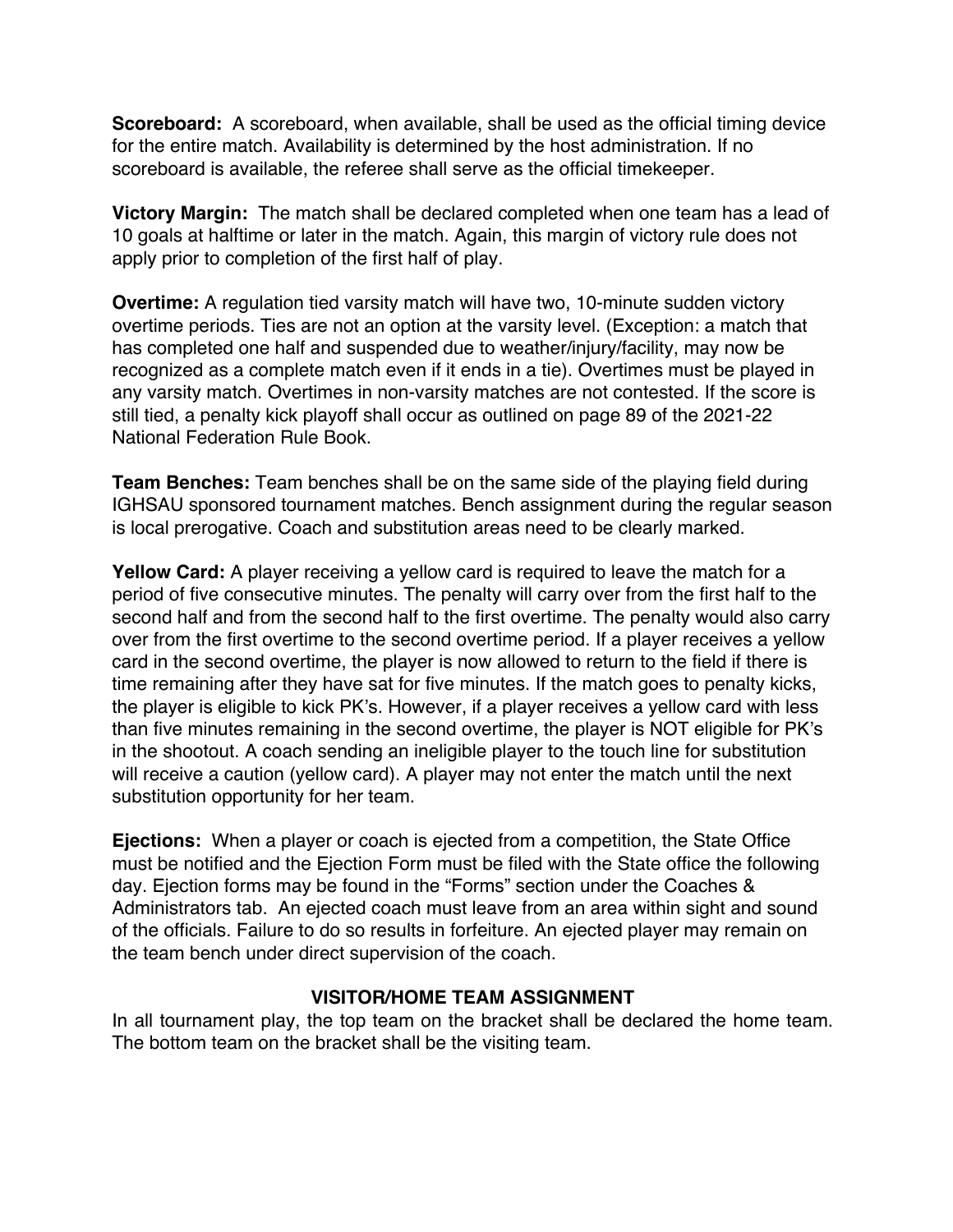**Scoreboard:** A scoreboard, when available, shall be used as the official timing device for the entire match. Availability is determined by the host administration. If no scoreboard is available, the referee shall serve as the official timekeeper.

**Victory Margin:** The match shall be declared completed when one team has a lead of 10 goals at halftime or later in the match. Again, this margin of victory rule does not apply prior to completion of the first half of play.

**Overtime:** A regulation tied varsity match will have two, 10-minute sudden victory overtime periods. Ties are not an option at the varsity level. (Exception: a match that has completed one half and suspended due to weather/injury/facility, may now be recognized as a complete match even if it ends in a tie). Overtimes must be played in any varsity match. Overtimes in non-varsity matches are not contested. If the score is still tied, a penalty kick playoff shall occur as outlined on page 89 of the 2021-22 National Federation Rule Book.

**Team Benches:** Team benches shall be on the same side of the playing field during IGHSAU sponsored tournament matches. Bench assignment during the regular season is local prerogative. Coach and substitution areas need to be clearly marked.

**Yellow Card:** A player receiving a yellow card is required to leave the match for a period of five consecutive minutes. The penalty will carry over from the first half to the second half and from the second half to the first overtime. The penalty would also carry over from the first overtime to the second overtime period. If a player receives a yellow card in the second overtime, the player is now allowed to return to the field if there is time remaining after they have sat for five minutes. If the match goes to penalty kicks, the player is eligible to kick PK's. However, if a player receives a yellow card with less than five minutes remaining in the second overtime, the player is NOT eligible for PK's in the shootout. A coach sending an ineligible player to the touch line for substitution will receive a caution (yellow card). A player may not enter the match until the next substitution opportunity for her team.

**Ejections:** When a player or coach is ejected from a competition, the State Office must be notified and the Ejection Form must be filed with the State office the following day. Ejection forms may be found in the "Forms" section under the Coaches & Administrators tab. An ejected coach must leave from an area within sight and sound of the officials. Failure to do so results in forfeiture. An ejected player may remain on the team bench under direct supervision of the coach.

#### **VISITOR/HOME TEAM ASSIGNMENT**

In all tournament play, the top team on the bracket shall be declared the home team. The bottom team on the bracket shall be the visiting team.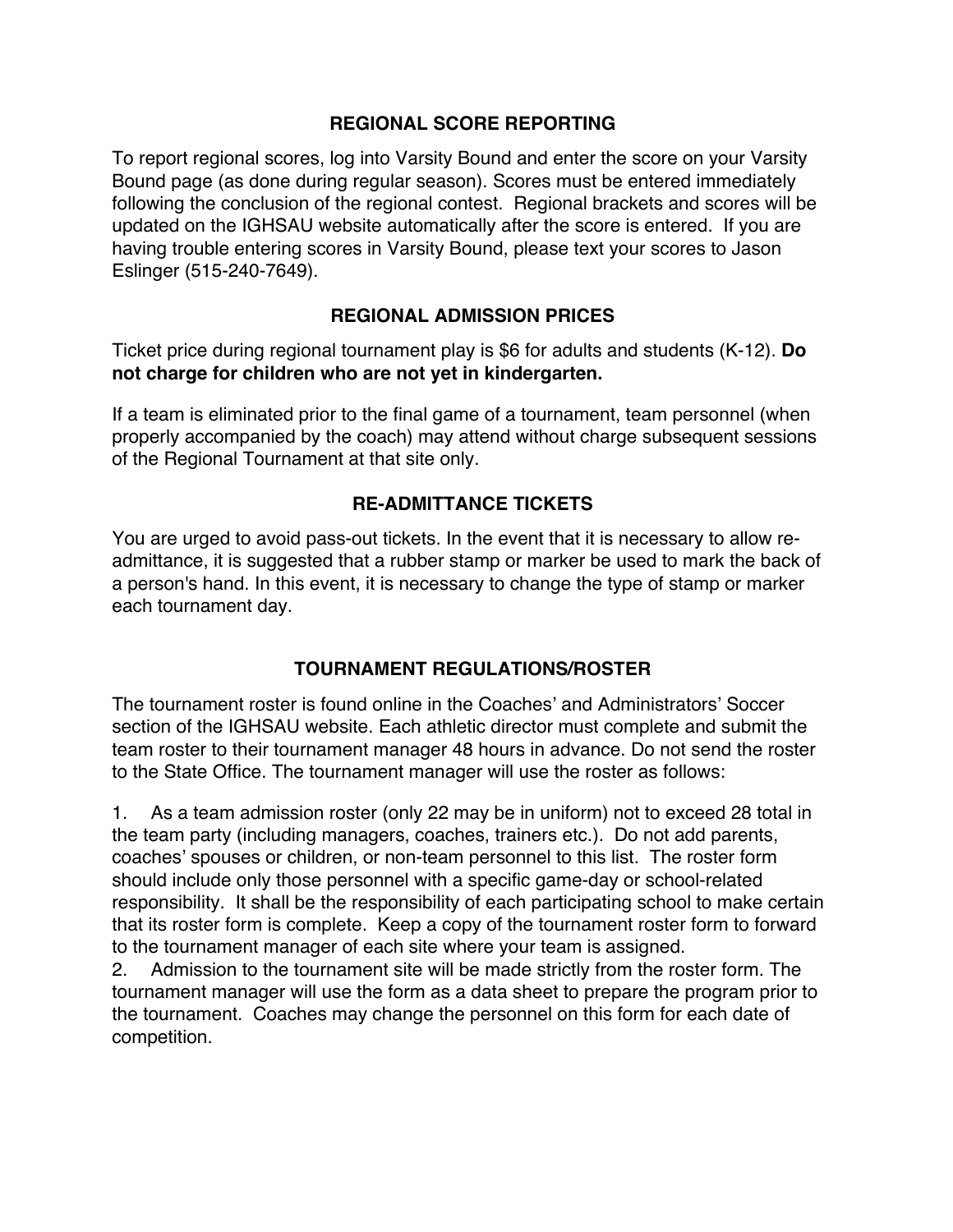#### **REGIONAL SCORE REPORTING**

To report regional scores, log into Varsity Bound and enter the score on your Varsity Bound page (as done during regular season). Scores must be entered immediately following the conclusion of the regional contest. Regional brackets and scores will be updated on the IGHSAU website automatically after the score is entered. If you are having trouble entering scores in Varsity Bound, please text your scores to Jason Eslinger (515-240-7649).

## **REGIONAL ADMISSION PRICES**

Ticket price during regional tournament play is \$6 for adults and students (K-12). **Do not charge for children who are not yet in kindergarten.**

If a team is eliminated prior to the final game of a tournament, team personnel (when properly accompanied by the coach) may attend without charge subsequent sessions of the Regional Tournament at that site only.

# **RE-ADMITTANCE TICKETS**

You are urged to avoid pass-out tickets. In the event that it is necessary to allow readmittance, it is suggested that a rubber stamp or marker be used to mark the back of a person's hand. In this event, it is necessary to change the type of stamp or marker each tournament day.

## **TOURNAMENT REGULATIONS/ROSTER**

The tournament roster is found online in the Coaches' and Administrators' Soccer section of the IGHSAU website. Each athletic director must complete and submit the team roster to their tournament manager 48 hours in advance. Do not send the roster to the State Office. The tournament manager will use the roster as follows:

1. As a team admission roster (only 22 may be in uniform) not to exceed 28 total in the team party (including managers, coaches, trainers etc.). Do not add parents, coaches' spouses or children, or non-team personnel to this list. The roster form should include only those personnel with a specific game-day or school-related responsibility. It shall be the responsibility of each participating school to make certain that its roster form is complete. Keep a copy of the tournament roster form to forward to the tournament manager of each site where your team is assigned.

2. Admission to the tournament site will be made strictly from the roster form. The tournament manager will use the form as a data sheet to prepare the program prior to the tournament. Coaches may change the personnel on this form for each date of competition.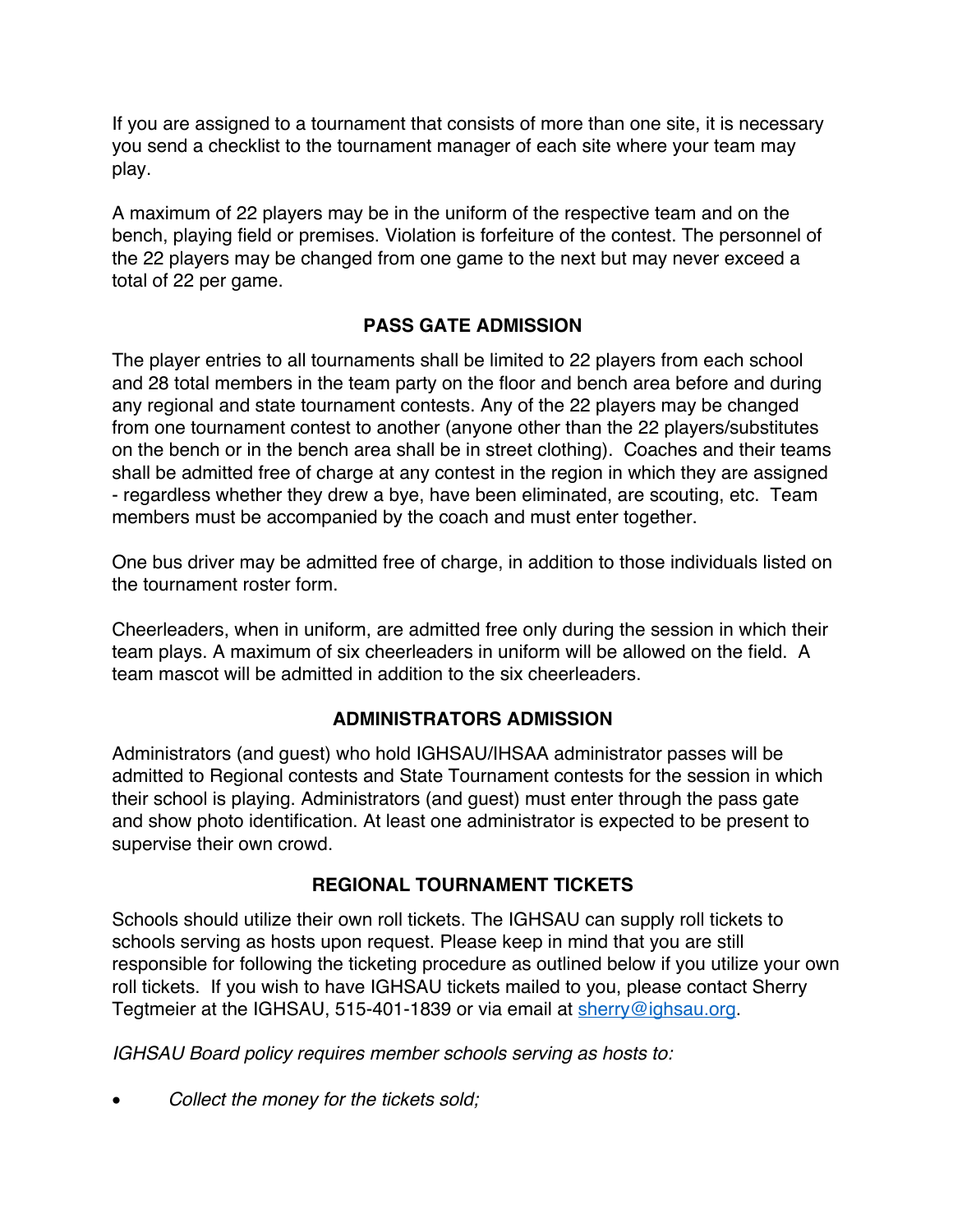If you are assigned to a tournament that consists of more than one site, it is necessary you send a checklist to the tournament manager of each site where your team may play.

A maximum of 22 players may be in the uniform of the respective team and on the bench, playing field or premises. Violation is forfeiture of the contest. The personnel of the 22 players may be changed from one game to the next but may never exceed a total of 22 per game.

# **PASS GATE ADMISSION**

The player entries to all tournaments shall be limited to 22 players from each school and 28 total members in the team party on the floor and bench area before and during any regional and state tournament contests. Any of the 22 players may be changed from one tournament contest to another (anyone other than the 22 players/substitutes on the bench or in the bench area shall be in street clothing). Coaches and their teams shall be admitted free of charge at any contest in the region in which they are assigned - regardless whether they drew a bye, have been eliminated, are scouting, etc. Team members must be accompanied by the coach and must enter together.

One bus driver may be admitted free of charge, in addition to those individuals listed on the tournament roster form.

Cheerleaders, when in uniform, are admitted free only during the session in which their team plays. A maximum of six cheerleaders in uniform will be allowed on the field. A team mascot will be admitted in addition to the six cheerleaders.

# **ADMINISTRATORS ADMISSION**

Administrators (and guest) who hold IGHSAU/IHSAA administrator passes will be admitted to Regional contests and State Tournament contests for the session in which their school is playing. Administrators (and guest) must enter through the pass gate and show photo identification. At least one administrator is expected to be present to supervise their own crowd.

## **REGIONAL TOURNAMENT TICKETS**

Schools should utilize their own roll tickets. The IGHSAU can supply roll tickets to schools serving as hosts upon request. Please keep in mind that you are still responsible for following the ticketing procedure as outlined below if you utilize your own roll tickets. If you wish to have IGHSAU tickets mailed to you, please contact Sherry Tegtmeier at the IGHSAU, 515-401-1839 or via email at sherry@ighsau.org.

*IGHSAU Board policy requires member schools serving as hosts to:*

• *Collect the money for the tickets sold;*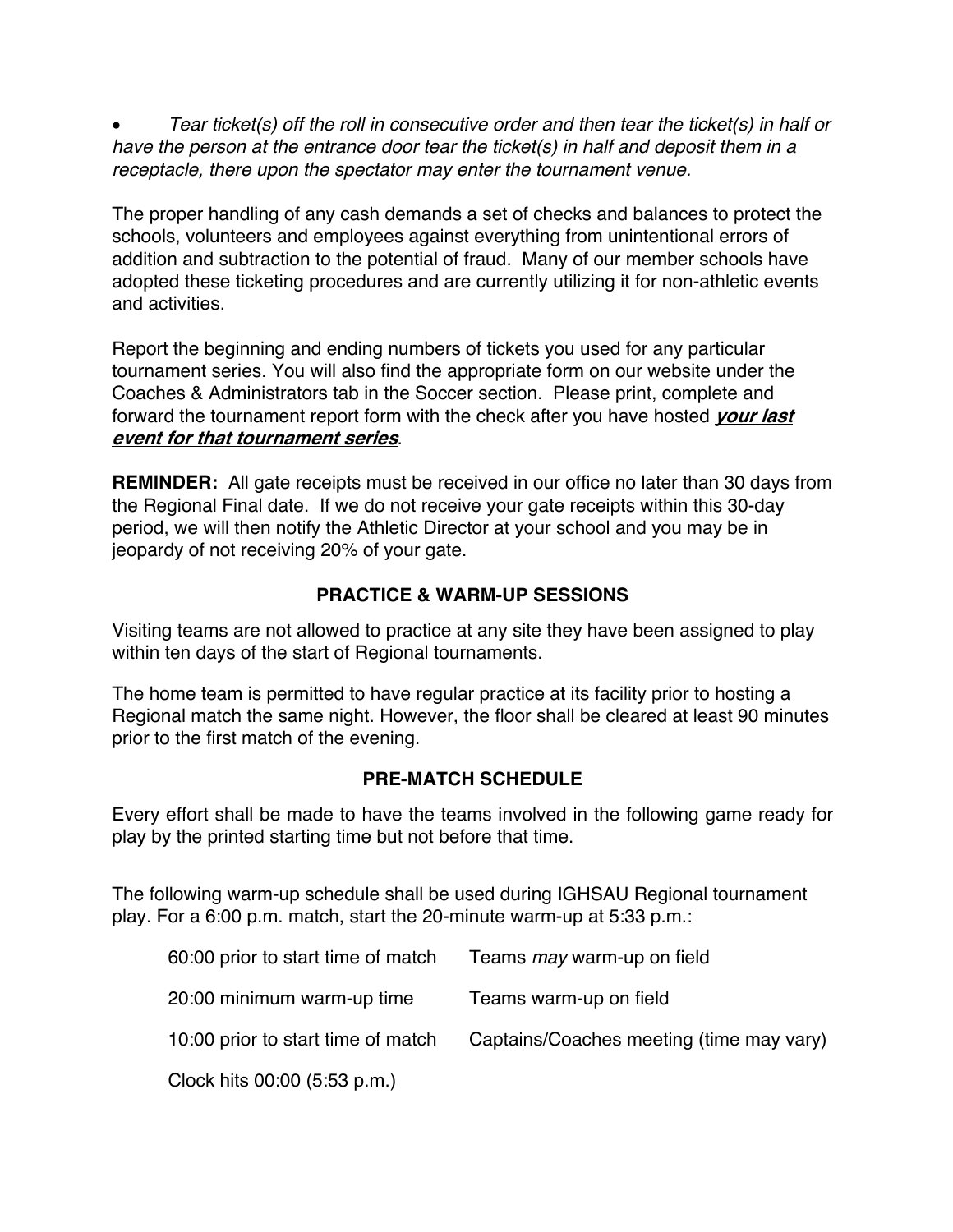• *Tear ticket(s) off the roll in consecutive order and then tear the ticket(s) in half or have the person at the entrance door tear the ticket(s) in half and deposit them in a receptacle, there upon the spectator may enter the tournament venue.*

The proper handling of any cash demands a set of checks and balances to protect the schools, volunteers and employees against everything from unintentional errors of addition and subtraction to the potential of fraud. Many of our member schools have adopted these ticketing procedures and are currently utilizing it for non-athletic events and activities.

Report the beginning and ending numbers of tickets you used for any particular tournament series. You will also find the appropriate form on our website under the Coaches & Administrators tab in the Soccer section. Please print, complete and forward the tournament report form with the check after you have hosted **your last event for that tournament series**.

**REMINDER:** All gate receipts must be received in our office no later than 30 days from the Regional Final date. If we do not receive your gate receipts within this 30-day period, we will then notify the Athletic Director at your school and you may be in jeopardy of not receiving 20% of your gate.

## **PRACTICE & WARM-UP SESSIONS**

Visiting teams are not allowed to practice at any site they have been assigned to play within ten days of the start of Regional tournaments.

The home team is permitted to have regular practice at its facility prior to hosting a Regional match the same night. However, the floor shall be cleared at least 90 minutes prior to the first match of the evening.

## **PRE-MATCH SCHEDULE**

Every effort shall be made to have the teams involved in the following game ready for play by the printed starting time but not before that time.

The following warm-up schedule shall be used during IGHSAU Regional tournament play. For a 6:00 p.m. match, start the 20-minute warm-up at 5:33 p.m.:

| 60:00 prior to start time of match | Teams <i>may</i> warm-up on field        |
|------------------------------------|------------------------------------------|
| 20:00 minimum warm-up time         | Teams warm-up on field                   |
| 10:00 prior to start time of match | Captains/Coaches meeting (time may vary) |
| Clock hits 00:00 (5:53 p.m.)       |                                          |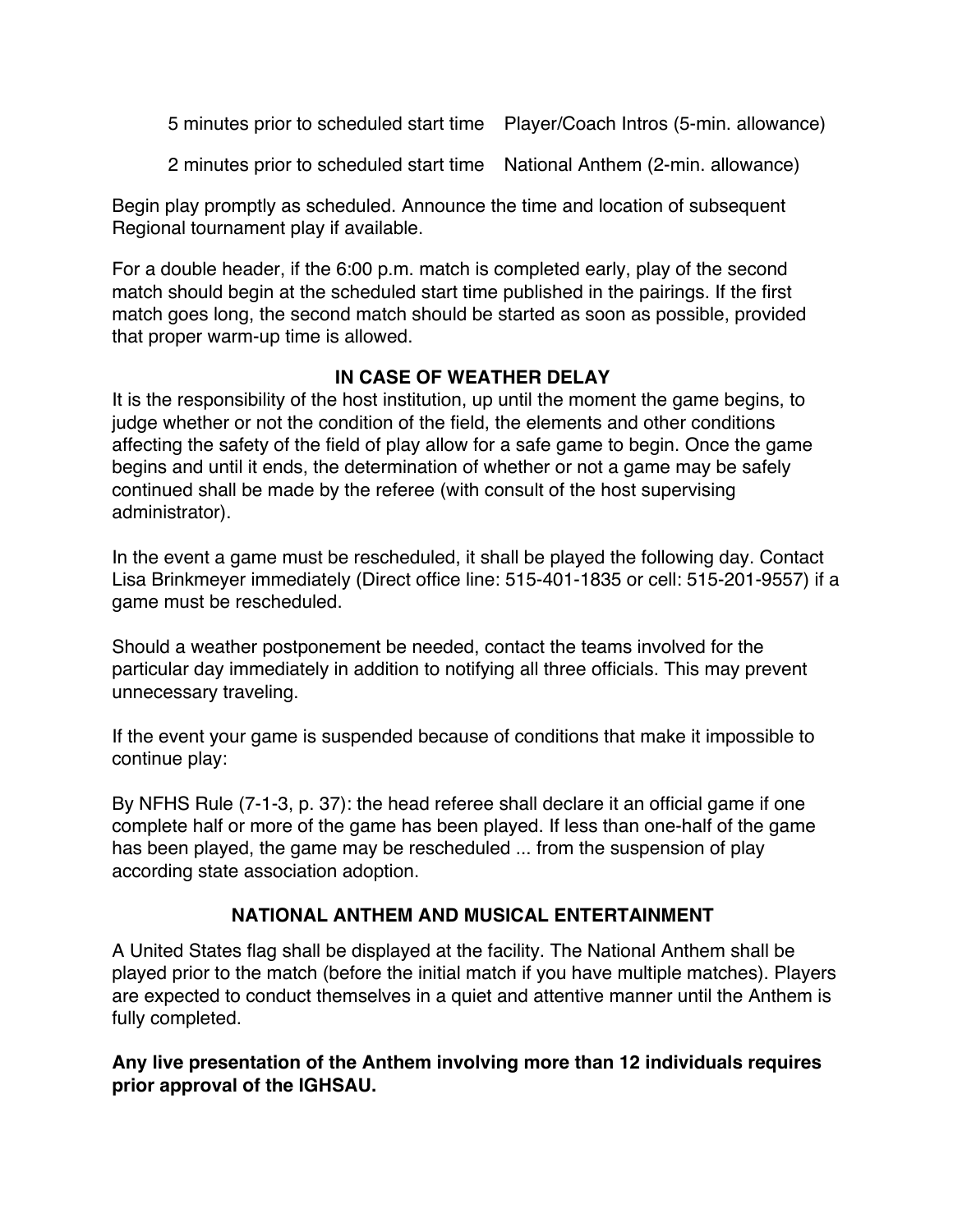5 minutes prior to scheduled start time Player/Coach Intros (5-min. allowance)

2 minutes prior to scheduled start time National Anthem (2-min. allowance)

Begin play promptly as scheduled. Announce the time and location of subsequent Regional tournament play if available.

For a double header, if the 6:00 p.m. match is completed early, play of the second match should begin at the scheduled start time published in the pairings. If the first match goes long, the second match should be started as soon as possible, provided that proper warm-up time is allowed.

## **IN CASE OF WEATHER DELAY**

It is the responsibility of the host institution, up until the moment the game begins, to judge whether or not the condition of the field, the elements and other conditions affecting the safety of the field of play allow for a safe game to begin. Once the game begins and until it ends, the determination of whether or not a game may be safely continued shall be made by the referee (with consult of the host supervising administrator).

In the event a game must be rescheduled, it shall be played the following day. Contact Lisa Brinkmeyer immediately (Direct office line: 515-401-1835 or cell: 515-201-9557) if a game must be rescheduled.

Should a weather postponement be needed, contact the teams involved for the particular day immediately in addition to notifying all three officials. This may prevent unnecessary traveling.

If the event your game is suspended because of conditions that make it impossible to continue play:

By NFHS Rule (7-1-3, p. 37): the head referee shall declare it an official game if one complete half or more of the game has been played. If less than one-half of the game has been played, the game may be rescheduled ... from the suspension of play according state association adoption.

# **NATIONAL ANTHEM AND MUSICAL ENTERTAINMENT**

A United States flag shall be displayed at the facility. The National Anthem shall be played prior to the match (before the initial match if you have multiple matches). Players are expected to conduct themselves in a quiet and attentive manner until the Anthem is fully completed.

**Any live presentation of the Anthem involving more than 12 individuals requires prior approval of the IGHSAU.**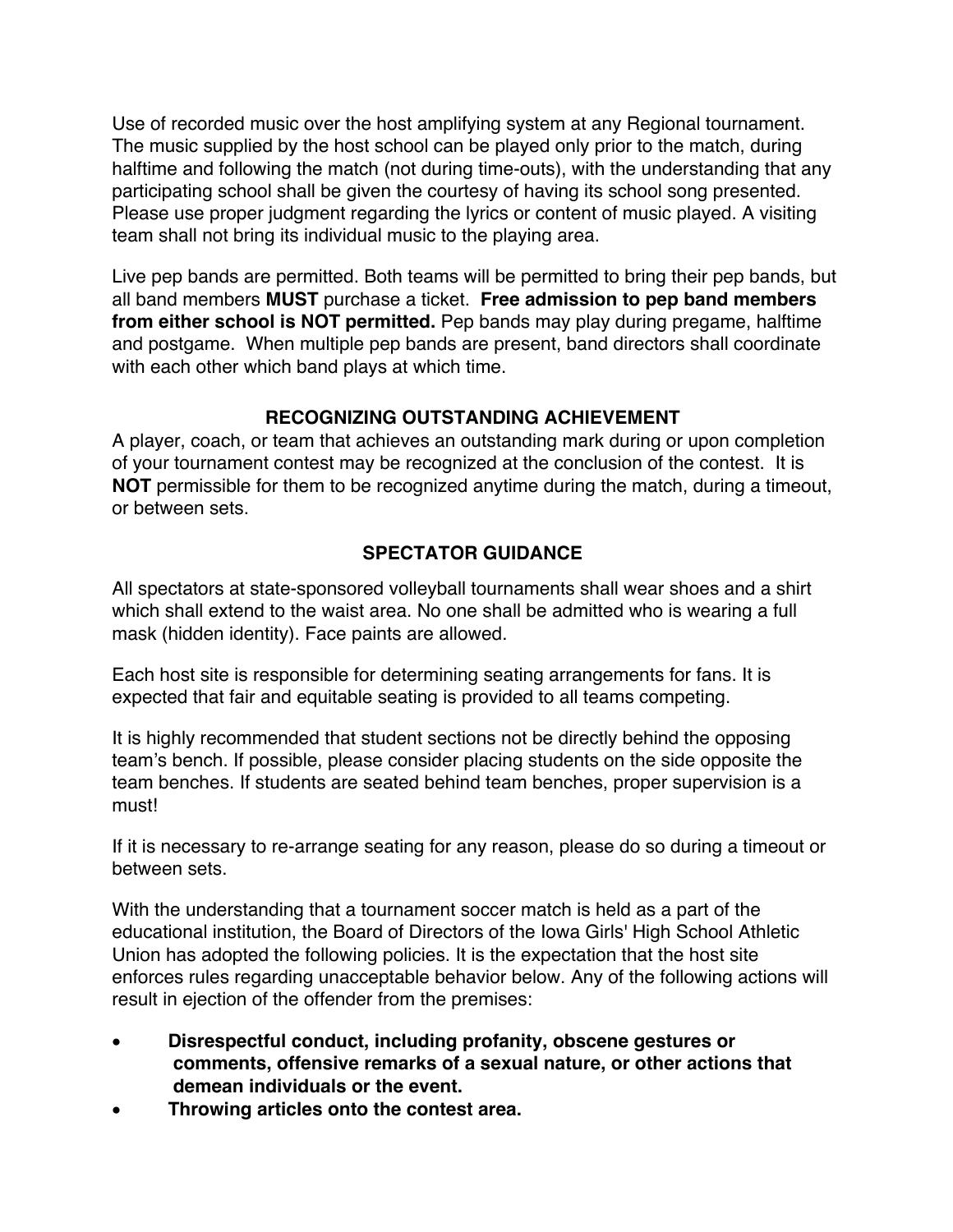Use of recorded music over the host amplifying system at any Regional tournament. The music supplied by the host school can be played only prior to the match, during halftime and following the match (not during time-outs), with the understanding that any participating school shall be given the courtesy of having its school song presented. Please use proper judgment regarding the lyrics or content of music played. A visiting team shall not bring its individual music to the playing area.

Live pep bands are permitted. Both teams will be permitted to bring their pep bands, but all band members **MUST** purchase a ticket. **Free admission to pep band members from either school is NOT permitted.** Pep bands may play during pregame, halftime and postgame. When multiple pep bands are present, band directors shall coordinate with each other which band plays at which time.

# **RECOGNIZING OUTSTANDING ACHIEVEMENT**

A player, coach, or team that achieves an outstanding mark during or upon completion of your tournament contest may be recognized at the conclusion of the contest. It is **NOT** permissible for them to be recognized anytime during the match, during a timeout, or between sets.

# **SPECTATOR GUIDANCE**

All spectators at state-sponsored volleyball tournaments shall wear shoes and a shirt which shall extend to the waist area. No one shall be admitted who is wearing a full mask (hidden identity). Face paints are allowed.

Each host site is responsible for determining seating arrangements for fans. It is expected that fair and equitable seating is provided to all teams competing.

It is highly recommended that student sections not be directly behind the opposing team's bench. If possible, please consider placing students on the side opposite the team benches. If students are seated behind team benches, proper supervision is a must!

If it is necessary to re-arrange seating for any reason, please do so during a timeout or between sets.

With the understanding that a tournament soccer match is held as a part of the educational institution, the Board of Directors of the Iowa Girls' High School Athletic Union has adopted the following policies. It is the expectation that the host site enforces rules regarding unacceptable behavior below. Any of the following actions will result in ejection of the offender from the premises:

- **Disrespectful conduct, including profanity, obscene gestures or comments, offensive remarks of a sexual nature, or other actions that demean individuals or the event.**
- **Throwing articles onto the contest area.**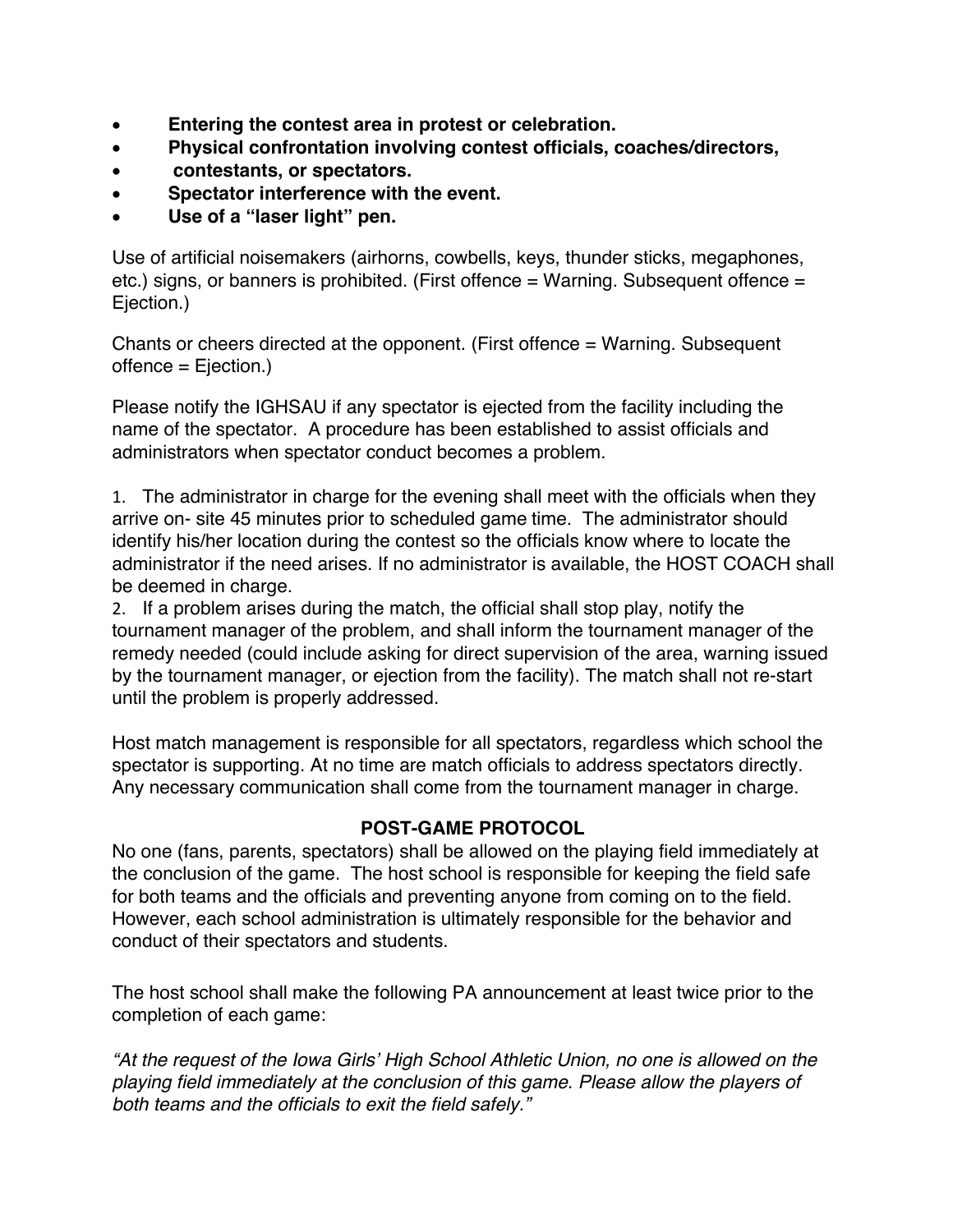- **Entering the contest area in protest or celebration.**
- **Physical confrontation involving contest officials, coaches/directors,**
- **contestants, or spectators.**
- **Spectator interference with the event.**
- **Use of a "laser light" pen.**

Use of artificial noisemakers (airhorns, cowbells, keys, thunder sticks, megaphones, etc.) signs, or banners is prohibited. (First offence = Warning. Subsequent offence = Ejection.)

Chants or cheers directed at the opponent. (First offence = Warning. Subsequent offence = Ejection.)

Please notify the IGHSAU if any spectator is ejected from the facility including the name of the spectator. A procedure has been established to assist officials and administrators when spectator conduct becomes a problem.

1. The administrator in charge for the evening shall meet with the officials when they arrive on- site 45 minutes prior to scheduled game time. The administrator should identify his/her location during the contest so the officials know where to locate the administrator if the need arises. If no administrator is available, the HOST COACH shall be deemed in charge.

2. If a problem arises during the match, the official shall stop play, notify the tournament manager of the problem, and shall inform the tournament manager of the remedy needed (could include asking for direct supervision of the area, warning issued by the tournament manager, or ejection from the facility). The match shall not re-start until the problem is properly addressed.

Host match management is responsible for all spectators, regardless which school the spectator is supporting. At no time are match officials to address spectators directly. Any necessary communication shall come from the tournament manager in charge.

## **POST-GAME PROTOCOL**

No one (fans, parents, spectators) shall be allowed on the playing field immediately at the conclusion of the game. The host school is responsible for keeping the field safe for both teams and the officials and preventing anyone from coming on to the field. However, each school administration is ultimately responsible for the behavior and conduct of their spectators and students.

The host school shall make the following PA announcement at least twice prior to the completion of each game:

*"At the request of the Iowa Girls' High School Athletic Union, no one is allowed on the playing field immediately at the conclusion of this game. Please allow the players of both teams and the officials to exit the field safely."*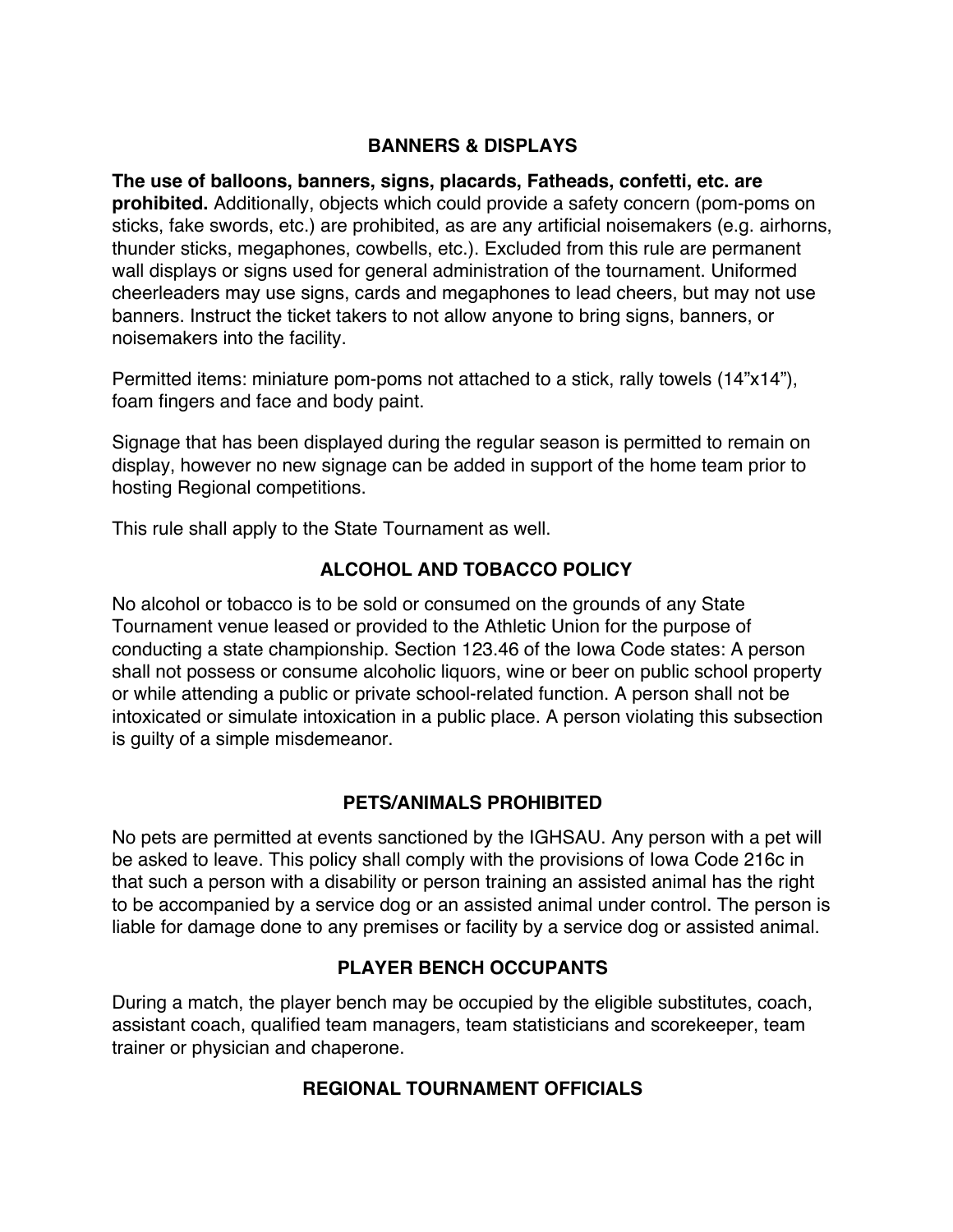#### **BANNERS & DISPLAYS**

**The use of balloons, banners, signs, placards, Fatheads, confetti, etc. are prohibited.** Additionally, objects which could provide a safety concern (pom-poms on sticks, fake swords, etc.) are prohibited, as are any artificial noisemakers (e.g. airhorns, thunder sticks, megaphones, cowbells, etc.). Excluded from this rule are permanent wall displays or signs used for general administration of the tournament. Uniformed cheerleaders may use signs, cards and megaphones to lead cheers, but may not use banners. Instruct the ticket takers to not allow anyone to bring signs, banners, or noisemakers into the facility.

Permitted items: miniature pom-poms not attached to a stick, rally towels (14"x14"), foam fingers and face and body paint.

Signage that has been displayed during the regular season is permitted to remain on display, however no new signage can be added in support of the home team prior to hosting Regional competitions.

This rule shall apply to the State Tournament as well.

#### **ALCOHOL AND TOBACCO POLICY**

No alcohol or tobacco is to be sold or consumed on the grounds of any State Tournament venue leased or provided to the Athletic Union for the purpose of conducting a state championship. Section 123.46 of the Iowa Code states: A person shall not possess or consume alcoholic liquors, wine or beer on public school property or while attending a public or private school-related function. A person shall not be intoxicated or simulate intoxication in a public place. A person violating this subsection is guilty of a simple misdemeanor.

## **PETS/ANIMALS PROHIBITED**

No pets are permitted at events sanctioned by the IGHSAU. Any person with a pet will be asked to leave. This policy shall comply with the provisions of Iowa Code 216c in that such a person with a disability or person training an assisted animal has the right to be accompanied by a service dog or an assisted animal under control. The person is liable for damage done to any premises or facility by a service dog or assisted animal.

## **PLAYER BENCH OCCUPANTS**

During a match, the player bench may be occupied by the eligible substitutes, coach, assistant coach, qualified team managers, team statisticians and scorekeeper, team trainer or physician and chaperone.

#### **REGIONAL TOURNAMENT OFFICIALS**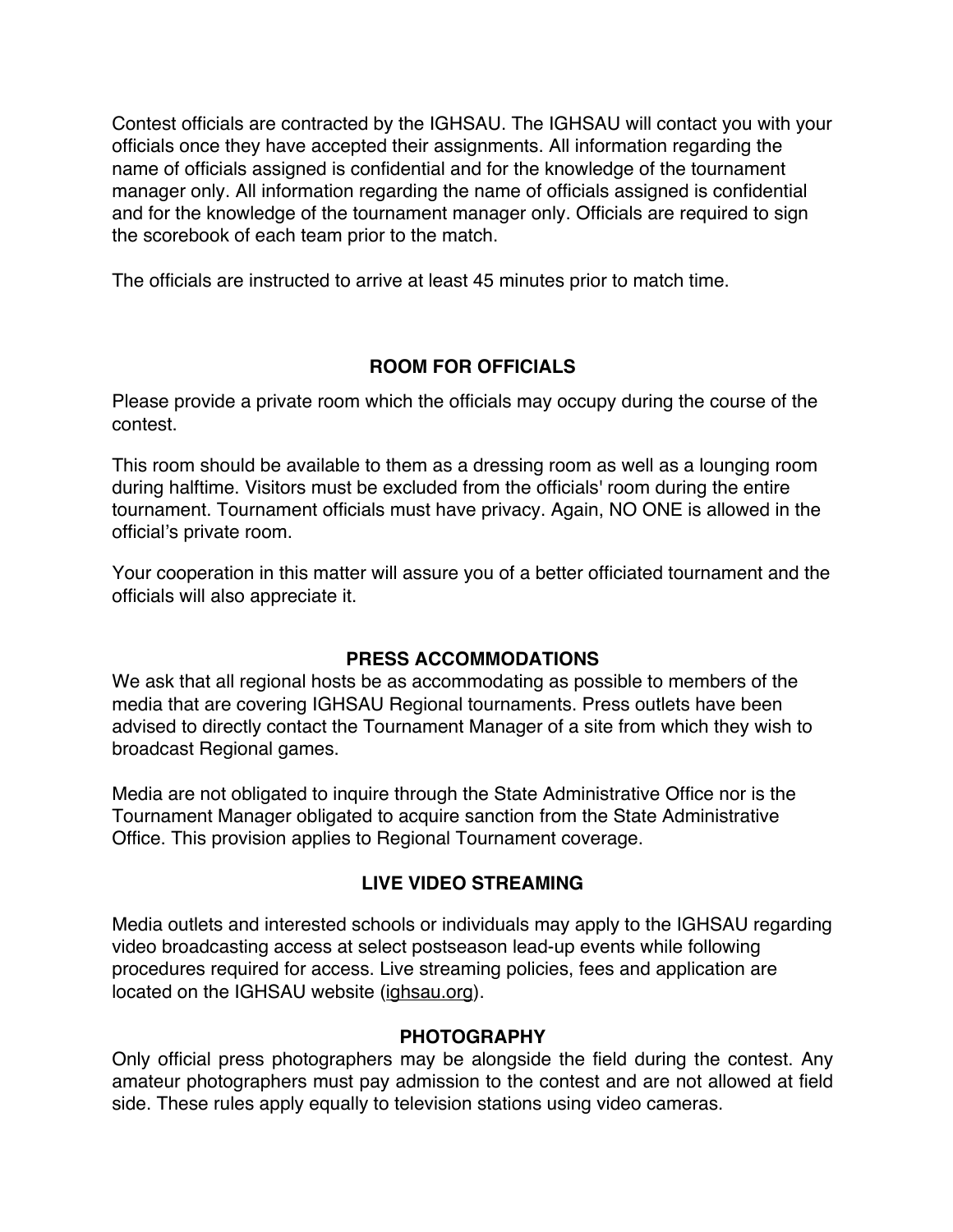Contest officials are contracted by the IGHSAU. The IGHSAU will contact you with your officials once they have accepted their assignments. All information regarding the name of officials assigned is confidential and for the knowledge of the tournament manager only. All information regarding the name of officials assigned is confidential and for the knowledge of the tournament manager only. Officials are required to sign the scorebook of each team prior to the match.

The officials are instructed to arrive at least 45 minutes prior to match time.

# **ROOM FOR OFFICIALS**

Please provide a private room which the officials may occupy during the course of the contest.

This room should be available to them as a dressing room as well as a lounging room during halftime. Visitors must be excluded from the officials' room during the entire tournament. Tournament officials must have privacy. Again, NO ONE is allowed in the official's private room.

Your cooperation in this matter will assure you of a better officiated tournament and the officials will also appreciate it.

## **PRESS ACCOMMODATIONS**

We ask that all regional hosts be as accommodating as possible to members of the media that are covering IGHSAU Regional tournaments. Press outlets have been advised to directly contact the Tournament Manager of a site from which they wish to broadcast Regional games.

Media are not obligated to inquire through the State Administrative Office nor is the Tournament Manager obligated to acquire sanction from the State Administrative Office. This provision applies to Regional Tournament coverage.

# **LIVE VIDEO STREAMING**

Media outlets and interested schools or individuals may apply to the IGHSAU regarding video broadcasting access at select postseason lead-up events while following procedures required for access. Live streaming policies, fees and application are located on the IGHSAU website (ighsau.org).

## **PHOTOGRAPHY**

Only official press photographers may be alongside the field during the contest. Any amateur photographers must pay admission to the contest and are not allowed at field side. These rules apply equally to television stations using video cameras.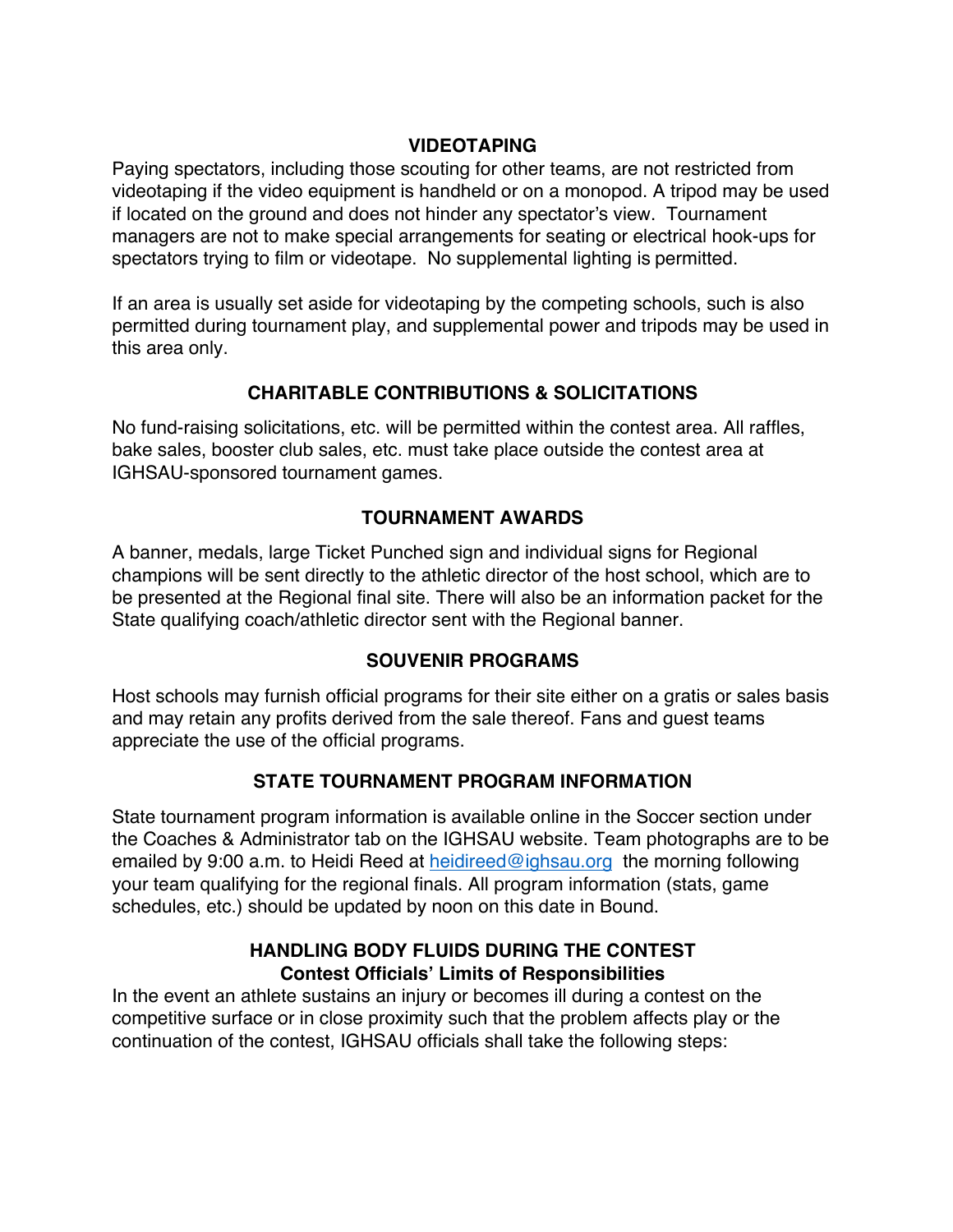#### **VIDEOTAPING**

Paying spectators, including those scouting for other teams, are not restricted from videotaping if the video equipment is handheld or on a monopod. A tripod may be used if located on the ground and does not hinder any spectator's view. Tournament managers are not to make special arrangements for seating or electrical hook-ups for spectators trying to film or videotape. No supplemental lighting is permitted.

If an area is usually set aside for videotaping by the competing schools, such is also permitted during tournament play, and supplemental power and tripods may be used in this area only.

# **CHARITABLE CONTRIBUTIONS & SOLICITATIONS**

No fund-raising solicitations, etc. will be permitted within the contest area. All raffles, bake sales, booster club sales, etc. must take place outside the contest area at IGHSAU-sponsored tournament games.

# **TOURNAMENT AWARDS**

A banner, medals, large Ticket Punched sign and individual signs for Regional champions will be sent directly to the athletic director of the host school, which are to be presented at the Regional final site. There will also be an information packet for the State qualifying coach/athletic director sent with the Regional banner.

## **SOUVENIR PROGRAMS**

Host schools may furnish official programs for their site either on a gratis or sales basis and may retain any profits derived from the sale thereof. Fans and guest teams appreciate the use of the official programs.

# **STATE TOURNAMENT PROGRAM INFORMATION**

State tournament program information is available online in the Soccer section under the Coaches & Administrator tab on the IGHSAU website. Team photographs are to be emailed by 9:00 a.m. to Heidi Reed at heidireed@ighsau.org the morning following your team qualifying for the regional finals. All program information (stats, game schedules, etc.) should be updated by noon on this date in Bound.

#### **HANDLING BODY FLUIDS DURING THE CONTEST Contest Officials' Limits of Responsibilities**

In the event an athlete sustains an injury or becomes ill during a contest on the competitive surface or in close proximity such that the problem affects play or the continuation of the contest, IGHSAU officials shall take the following steps: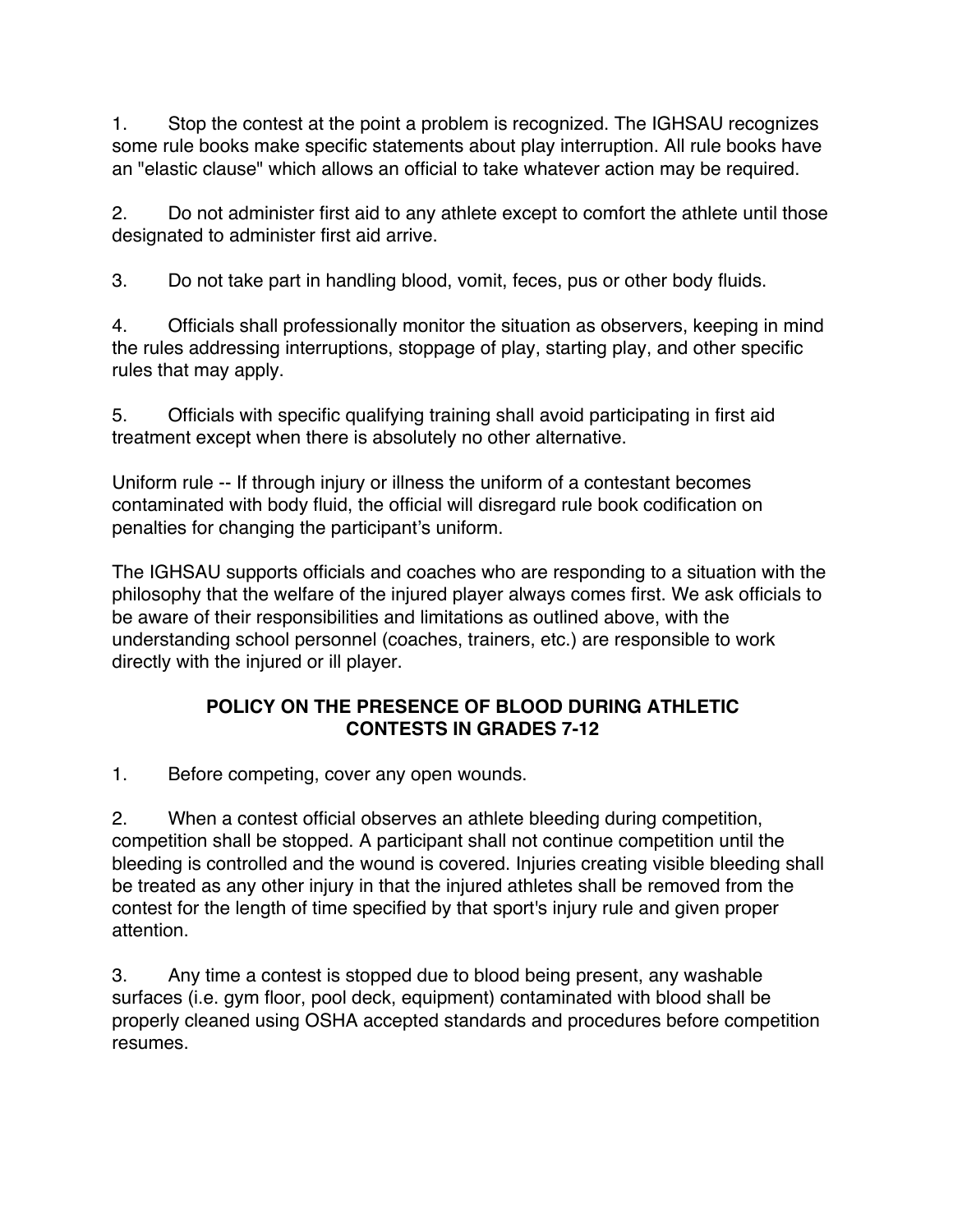1. Stop the contest at the point a problem is recognized. The IGHSAU recognizes some rule books make specific statements about play interruption. All rule books have an "elastic clause" which allows an official to take whatever action may be required.

2. Do not administer first aid to any athlete except to comfort the athlete until those designated to administer first aid arrive.

3. Do not take part in handling blood, vomit, feces, pus or other body fluids.

4. Officials shall professionally monitor the situation as observers, keeping in mind the rules addressing interruptions, stoppage of play, starting play, and other specific rules that may apply.

5. Officials with specific qualifying training shall avoid participating in first aid treatment except when there is absolutely no other alternative.

Uniform rule -- If through injury or illness the uniform of a contestant becomes contaminated with body fluid, the official will disregard rule book codification on penalties for changing the participant's uniform.

The IGHSAU supports officials and coaches who are responding to a situation with the philosophy that the welfare of the injured player always comes first. We ask officials to be aware of their responsibilities and limitations as outlined above, with the understanding school personnel (coaches, trainers, etc.) are responsible to work directly with the injured or ill player.

# **POLICY ON THE PRESENCE OF BLOOD DURING ATHLETIC CONTESTS IN GRADES 7-12**

1. Before competing, cover any open wounds.

2. When a contest official observes an athlete bleeding during competition, competition shall be stopped. A participant shall not continue competition until the bleeding is controlled and the wound is covered. Injuries creating visible bleeding shall be treated as any other injury in that the injured athletes shall be removed from the contest for the length of time specified by that sport's injury rule and given proper attention.

3. Any time a contest is stopped due to blood being present, any washable surfaces (i.e. gym floor, pool deck, equipment) contaminated with blood shall be properly cleaned using OSHA accepted standards and procedures before competition resumes.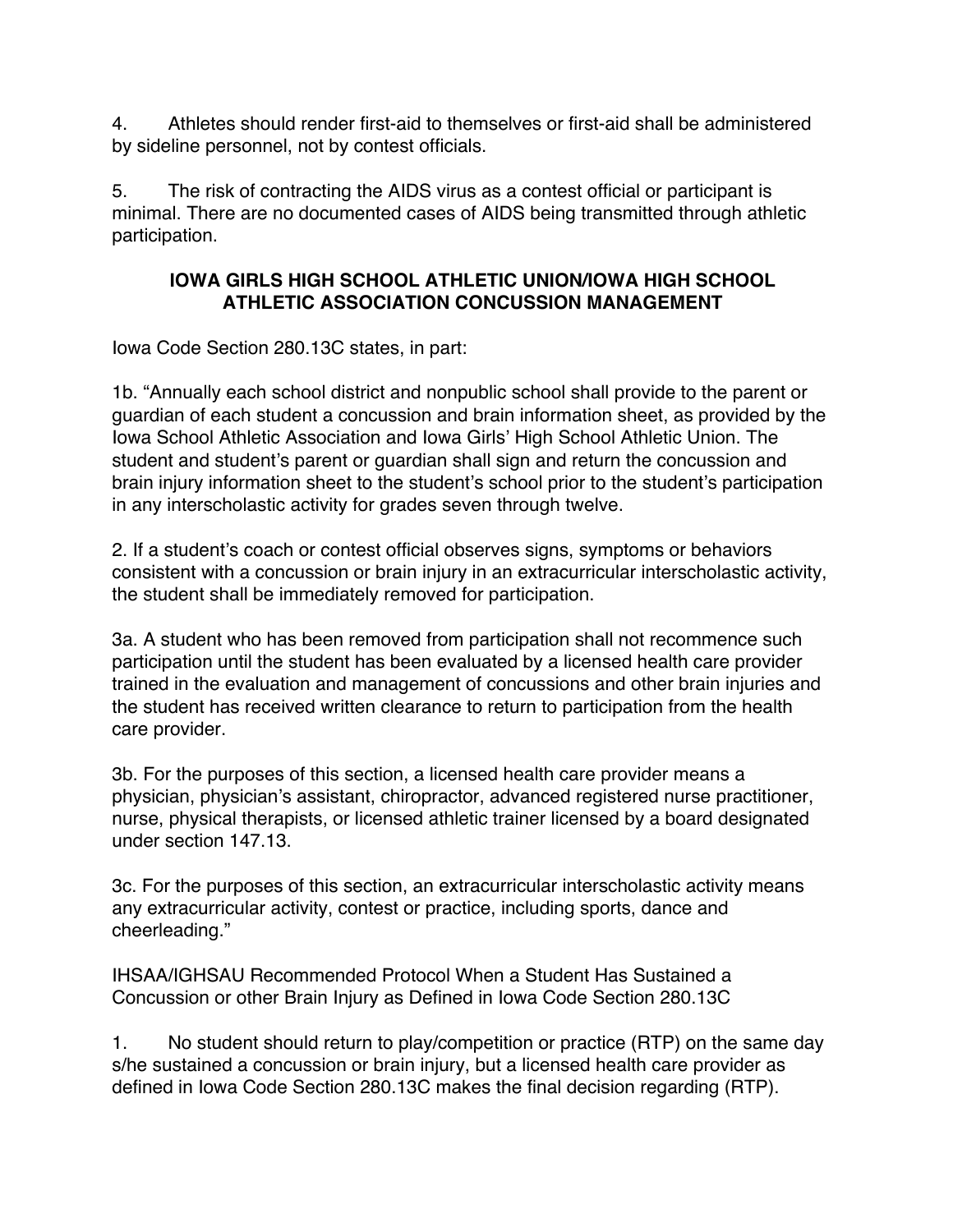4. Athletes should render first-aid to themselves or first-aid shall be administered by sideline personnel, not by contest officials.

5. The risk of contracting the AIDS virus as a contest official or participant is minimal. There are no documented cases of AIDS being transmitted through athletic participation.

#### **IOWA GIRLS HIGH SCHOOL ATHLETIC UNION/IOWA HIGH SCHOOL ATHLETIC ASSOCIATION CONCUSSION MANAGEMENT**

Iowa Code Section 280.13C states, in part:

1b. "Annually each school district and nonpublic school shall provide to the parent or guardian of each student a concussion and brain information sheet, as provided by the Iowa School Athletic Association and Iowa Girls' High School Athletic Union. The student and student's parent or guardian shall sign and return the concussion and brain injury information sheet to the student's school prior to the student's participation in any interscholastic activity for grades seven through twelve.

2. If a student's coach or contest official observes signs, symptoms or behaviors consistent with a concussion or brain injury in an extracurricular interscholastic activity, the student shall be immediately removed for participation.

3a. A student who has been removed from participation shall not recommence such participation until the student has been evaluated by a licensed health care provider trained in the evaluation and management of concussions and other brain injuries and the student has received written clearance to return to participation from the health care provider.

3b. For the purposes of this section, a licensed health care provider means a physician, physician's assistant, chiropractor, advanced registered nurse practitioner, nurse, physical therapists, or licensed athletic trainer licensed by a board designated under section 147.13.

3c. For the purposes of this section, an extracurricular interscholastic activity means any extracurricular activity, contest or practice, including sports, dance and cheerleading."

IHSAA/IGHSAU Recommended Protocol When a Student Has Sustained a Concussion or other Brain Injury as Defined in Iowa Code Section 280.13C

1. No student should return to play/competition or practice (RTP) on the same day s/he sustained a concussion or brain injury, but a licensed health care provider as defined in Iowa Code Section 280.13C makes the final decision regarding (RTP).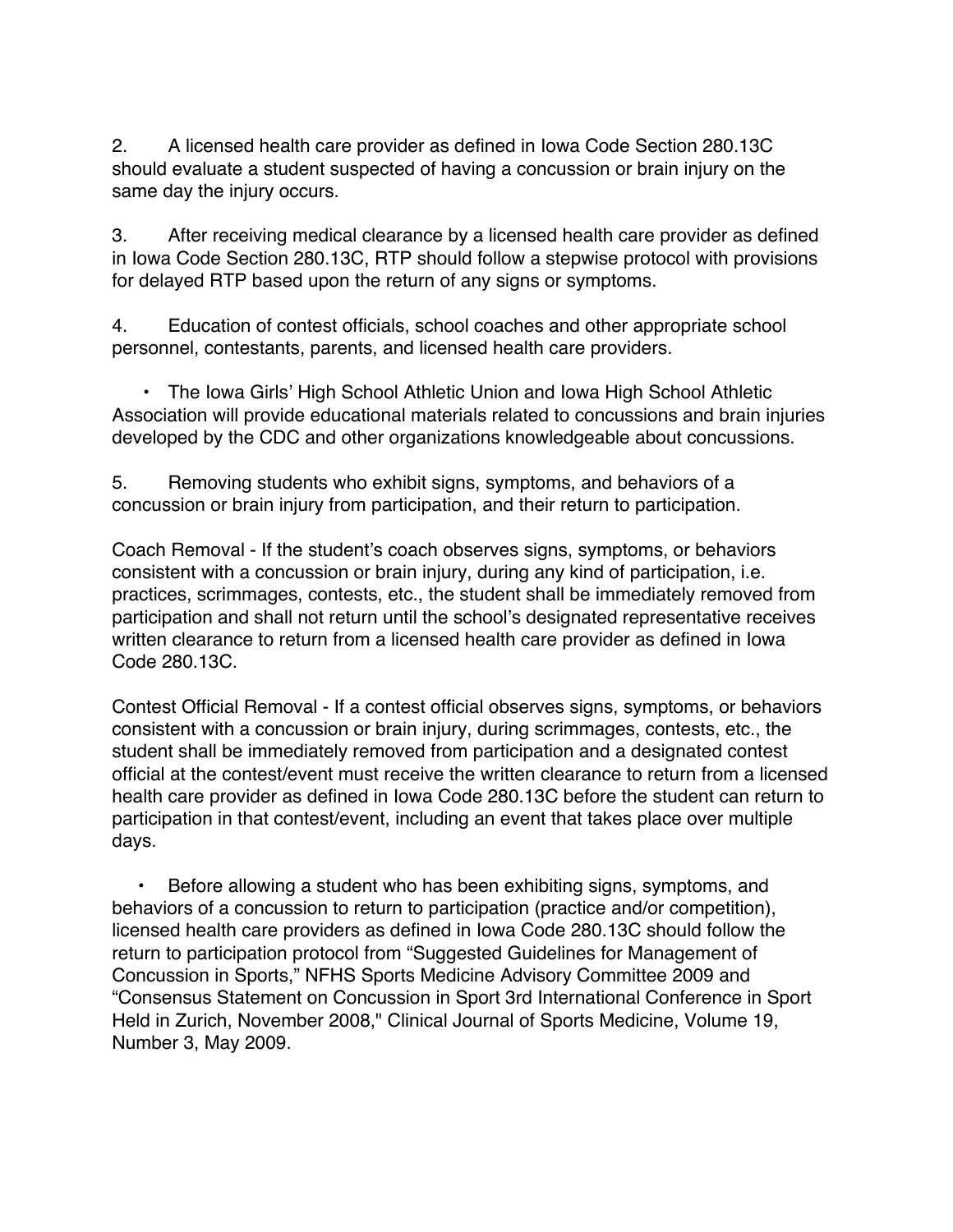2. A licensed health care provider as defined in Iowa Code Section 280.13C should evaluate a student suspected of having a concussion or brain injury on the same day the injury occurs.

3. After receiving medical clearance by a licensed health care provider as defined in Iowa Code Section 280.13C, RTP should follow a stepwise protocol with provisions for delayed RTP based upon the return of any signs or symptoms.

4. Education of contest officials, school coaches and other appropriate school personnel, contestants, parents, and licensed health care providers.

 • The Iowa Girls' High School Athletic Union and Iowa High School Athletic Association will provide educational materials related to concussions and brain injuries developed by the CDC and other organizations knowledgeable about concussions.

5. Removing students who exhibit signs, symptoms, and behaviors of a concussion or brain injury from participation, and their return to participation.

Coach Removal - If the student's coach observes signs, symptoms, or behaviors consistent with a concussion or brain injury, during any kind of participation, i.e. practices, scrimmages, contests, etc., the student shall be immediately removed from participation and shall not return until the school's designated representative receives written clearance to return from a licensed health care provider as defined in Iowa Code 280.13C.

Contest Official Removal - If a contest official observes signs, symptoms, or behaviors consistent with a concussion or brain injury, during scrimmages, contests, etc., the student shall be immediately removed from participation and a designated contest official at the contest/event must receive the written clearance to return from a licensed health care provider as defined in Iowa Code 280.13C before the student can return to participation in that contest/event, including an event that takes place over multiple days.

 • Before allowing a student who has been exhibiting signs, symptoms, and behaviors of a concussion to return to participation (practice and/or competition), licensed health care providers as defined in Iowa Code 280.13C should follow the return to participation protocol from "Suggested Guidelines for Management of Concussion in Sports," NFHS Sports Medicine Advisory Committee 2009 and "Consensus Statement on Concussion in Sport 3rd International Conference in Sport Held in Zurich, November 2008," Clinical Journal of Sports Medicine, Volume 19, Number 3, May 2009.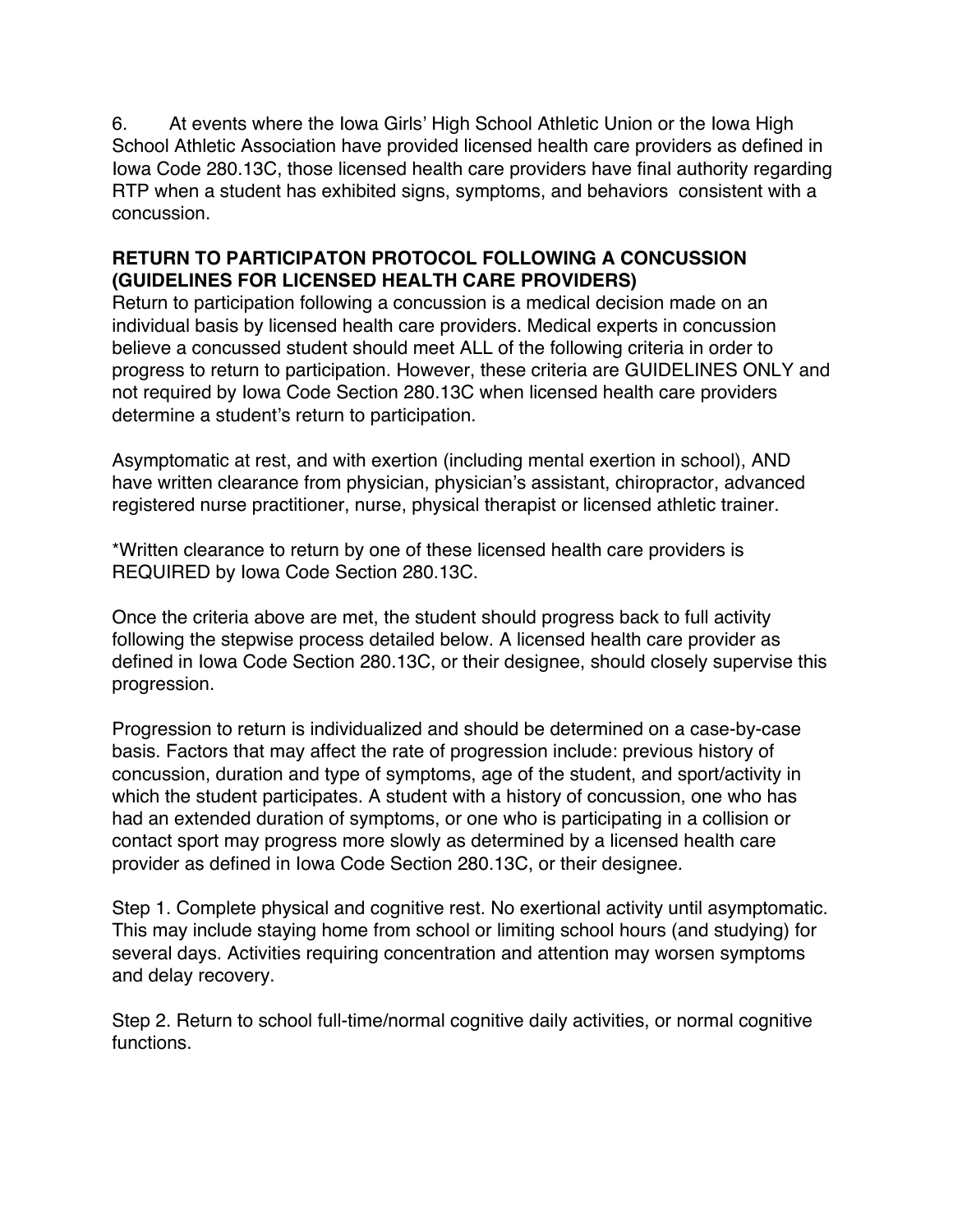6. At events where the Iowa Girls' High School Athletic Union or the Iowa High School Athletic Association have provided licensed health care providers as defined in Iowa Code 280.13C, those licensed health care providers have final authority regarding RTP when a student has exhibited signs, symptoms, and behaviors consistent with a concussion.

#### **RETURN TO PARTICIPATON PROTOCOL FOLLOWING A CONCUSSION (GUIDELINES FOR LICENSED HEALTH CARE PROVIDERS)**

Return to participation following a concussion is a medical decision made on an individual basis by licensed health care providers. Medical experts in concussion believe a concussed student should meet ALL of the following criteria in order to progress to return to participation. However, these criteria are GUIDELINES ONLY and not required by Iowa Code Section 280.13C when licensed health care providers determine a student's return to participation.

Asymptomatic at rest, and with exertion (including mental exertion in school), AND have written clearance from physician, physician's assistant, chiropractor, advanced registered nurse practitioner, nurse, physical therapist or licensed athletic trainer.

\*Written clearance to return by one of these licensed health care providers is REQUIRED by Iowa Code Section 280.13C.

Once the criteria above are met, the student should progress back to full activity following the stepwise process detailed below. A licensed health care provider as defined in Iowa Code Section 280.13C, or their designee, should closely supervise this progression.

Progression to return is individualized and should be determined on a case-by-case basis. Factors that may affect the rate of progression include: previous history of concussion, duration and type of symptoms, age of the student, and sport/activity in which the student participates. A student with a history of concussion, one who has had an extended duration of symptoms, or one who is participating in a collision or contact sport may progress more slowly as determined by a licensed health care provider as defined in Iowa Code Section 280.13C, or their designee.

Step 1. Complete physical and cognitive rest. No exertional activity until asymptomatic. This may include staying home from school or limiting school hours (and studying) for several days. Activities requiring concentration and attention may worsen symptoms and delay recovery.

Step 2. Return to school full-time/normal cognitive daily activities, or normal cognitive functions.